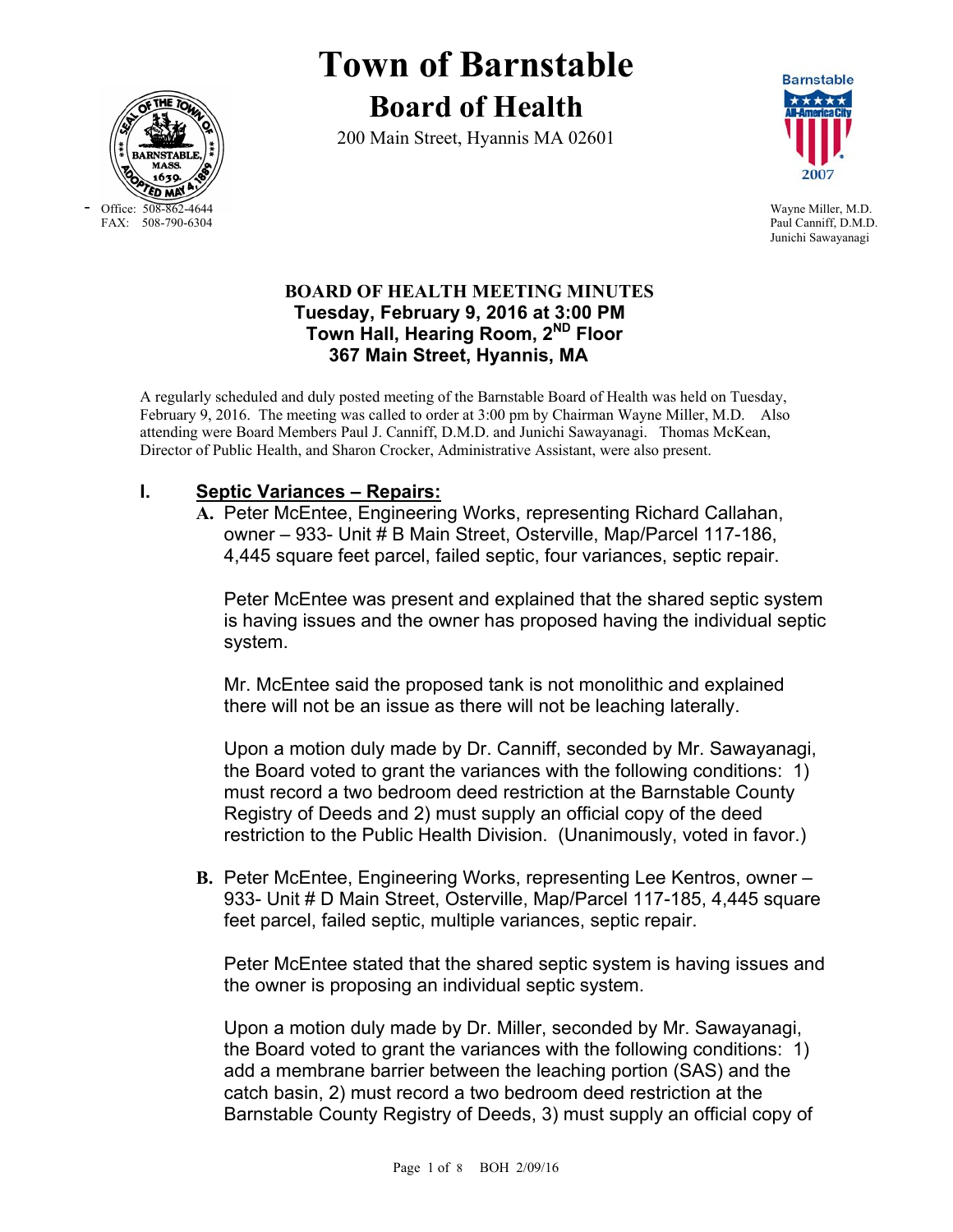

- Office: 508-862-4644 Wayne Miller, M.D.<br>FAX: 508-790-6304 Paul Canniff, D.M.D

# **Town of Barnstable Board of Health**

200 Main Street, Hyannis MA 02601



Paul Canniff, D.M.D. Junichi Sawayanagi

## **BOARD OF HEALTH MEETING MINUTES Tuesday, February 9, 2016 at 3:00 PM Town Hall, Hearing Room, 2ND Floor 367 Main Street, Hyannis, MA**

A regularly scheduled and duly posted meeting of the Barnstable Board of Health was held on Tuesday, February 9, 2016. The meeting was called to order at 3:00 pm by Chairman Wayne Miller, M.D. Also attending were Board Members Paul J. Canniff, D.M.D. and Junichi Sawayanagi. Thomas McKean, Director of Public Health, and Sharon Crocker, Administrative Assistant, were also present.

## **I. Septic Variances – Repairs:**

**A.** Peter McEntee, Engineering Works, representing Richard Callahan, owner – 933- Unit # B Main Street, Osterville, Map/Parcel 117-186, 4,445 square feet parcel, failed septic, four variances, septic repair.

Peter McEntee was present and explained that the shared septic system is having issues and the owner has proposed having the individual septic system.

Mr. McEntee said the proposed tank is not monolithic and explained there will not be an issue as there will not be leaching laterally.

Upon a motion duly made by Dr. Canniff, seconded by Mr. Sawayanagi, the Board voted to grant the variances with the following conditions: 1) must record a two bedroom deed restriction at the Barnstable County Registry of Deeds and 2) must supply an official copy of the deed restriction to the Public Health Division. (Unanimously, voted in favor.)

**B.** Peter McEntee, Engineering Works, representing Lee Kentros, owner – 933- Unit # D Main Street, Osterville, Map/Parcel 117-185, 4,445 square feet parcel, failed septic, multiple variances, septic repair.

Peter McEntee stated that the shared septic system is having issues and the owner is proposing an individual septic system.

Upon a motion duly made by Dr. Miller, seconded by Mr. Sawayanagi, the Board voted to grant the variances with the following conditions: 1) add a membrane barrier between the leaching portion (SAS) and the catch basin, 2) must record a two bedroom deed restriction at the Barnstable County Registry of Deeds, 3) must supply an official copy of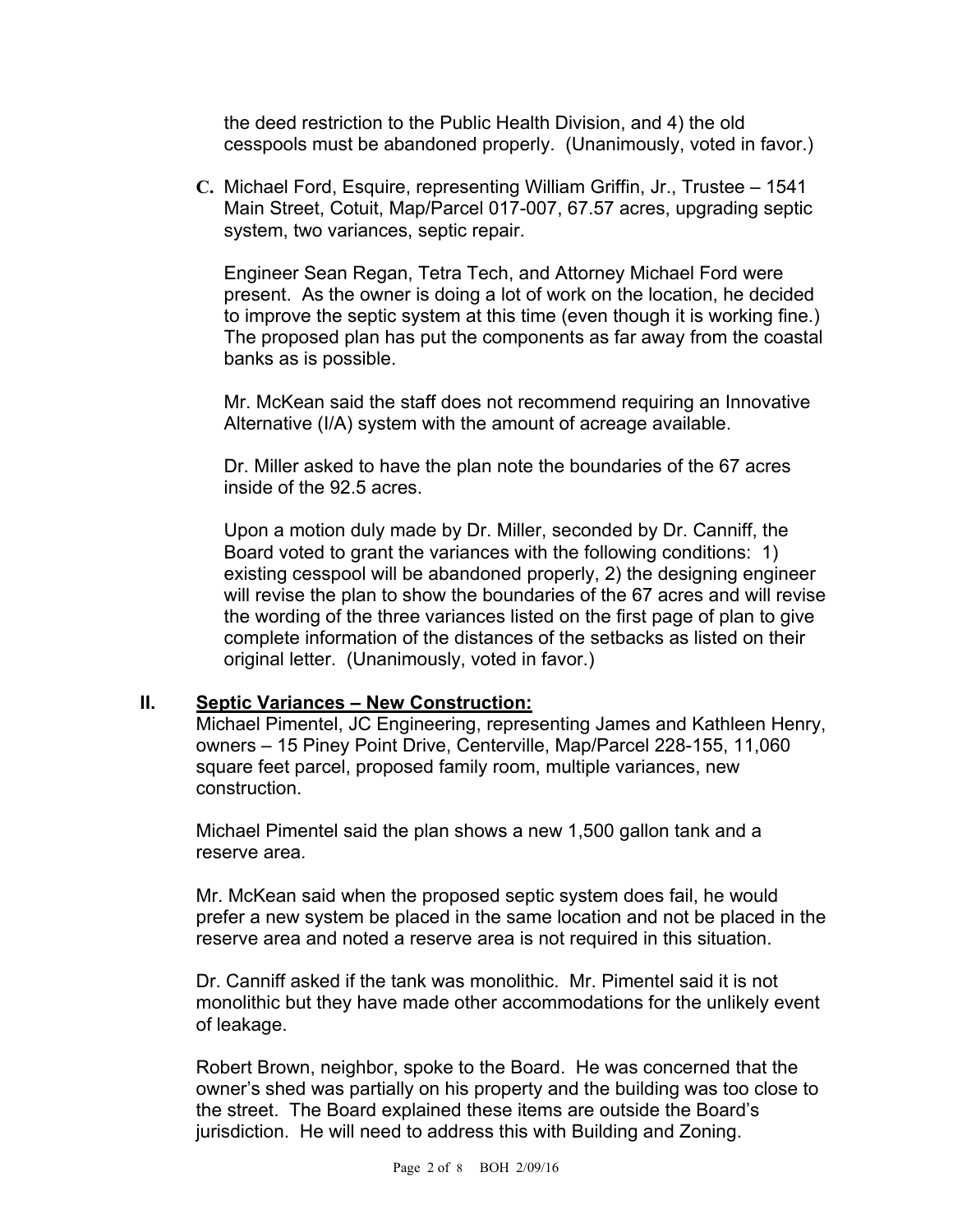the deed restriction to the Public Health Division, and 4) the old cesspools must be abandoned properly. (Unanimously, voted in favor.)

**C.** Michael Ford, Esquire, representing William Griffin, Jr., Trustee – 1541 Main Street, Cotuit, Map/Parcel 017-007, 67.57 acres, upgrading septic system, two variances, septic repair.

Engineer Sean Regan, Tetra Tech, and Attorney Michael Ford were present. As the owner is doing a lot of work on the location, he decided to improve the septic system at this time (even though it is working fine.) The proposed plan has put the components as far away from the coastal banks as is possible.

Mr. McKean said the staff does not recommend requiring an Innovative Alternative (I/A) system with the amount of acreage available.

Dr. Miller asked to have the plan note the boundaries of the 67 acres inside of the 92.5 acres.

Upon a motion duly made by Dr. Miller, seconded by Dr. Canniff, the Board voted to grant the variances with the following conditions: 1) existing cesspool will be abandoned properly, 2) the designing engineer will revise the plan to show the boundaries of the 67 acres and will revise the wording of the three variances listed on the first page of plan to give complete information of the distances of the setbacks as listed on their original letter. (Unanimously, voted in favor.)

### **II. Septic Variances – New Construction:**

Michael Pimentel, JC Engineering, representing James and Kathleen Henry, owners – 15 Piney Point Drive, Centerville, Map/Parcel 228-155, 11,060 square feet parcel, proposed family room, multiple variances, new construction.

Michael Pimentel said the plan shows a new 1,500 gallon tank and a reserve area.

Mr. McKean said when the proposed septic system does fail, he would prefer a new system be placed in the same location and not be placed in the reserve area and noted a reserve area is not required in this situation.

Dr. Canniff asked if the tank was monolithic. Mr. Pimentel said it is not monolithic but they have made other accommodations for the unlikely event of leakage.

Robert Brown, neighbor, spoke to the Board. He was concerned that the owner's shed was partially on his property and the building was too close to the street. The Board explained these items are outside the Board's jurisdiction. He will need to address this with Building and Zoning.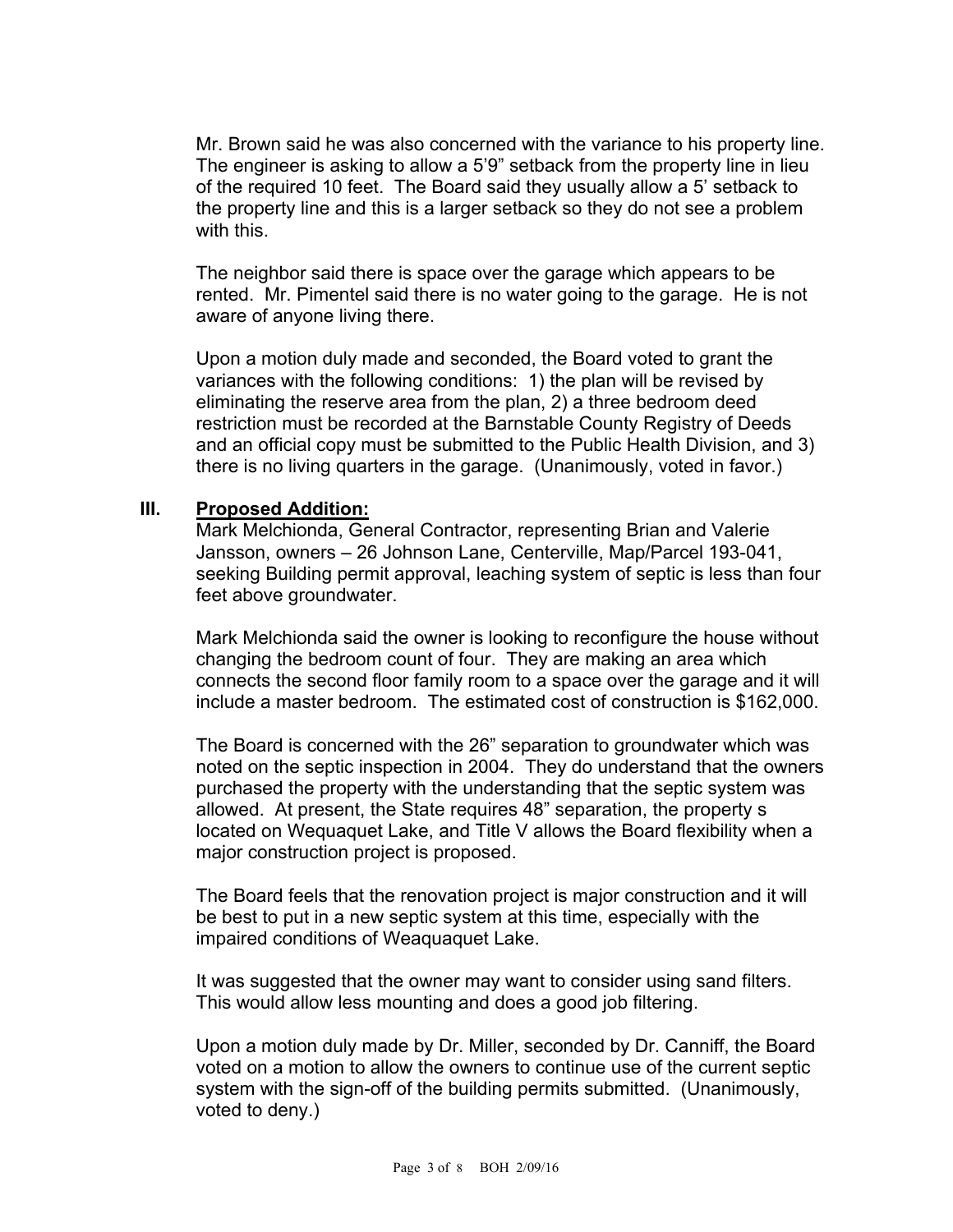Mr. Brown said he was also concerned with the variance to his property line. The engineer is asking to allow a 5'9" setback from the property line in lieu of the required 10 feet. The Board said they usually allow a 5' setback to the property line and this is a larger setback so they do not see a problem with this.

The neighbor said there is space over the garage which appears to be rented. Mr. Pimentel said there is no water going to the garage. He is not aware of anyone living there.

Upon a motion duly made and seconded, the Board voted to grant the variances with the following conditions: 1) the plan will be revised by eliminating the reserve area from the plan, 2) a three bedroom deed restriction must be recorded at the Barnstable County Registry of Deeds and an official copy must be submitted to the Public Health Division, and 3) there is no living quarters in the garage. (Unanimously, voted in favor.)

### **III. Proposed Addition:**

Mark Melchionda, General Contractor, representing Brian and Valerie Jansson, owners – 26 Johnson Lane, Centerville, Map/Parcel 193-041, seeking Building permit approval, leaching system of septic is less than four feet above groundwater.

Mark Melchionda said the owner is looking to reconfigure the house without changing the bedroom count of four. They are making an area which connects the second floor family room to a space over the garage and it will include a master bedroom. The estimated cost of construction is \$162,000.

The Board is concerned with the 26" separation to groundwater which was noted on the septic inspection in 2004. They do understand that the owners purchased the property with the understanding that the septic system was allowed. At present, the State requires 48" separation, the property s located on Wequaquet Lake, and Title V allows the Board flexibility when a major construction project is proposed.

The Board feels that the renovation project is major construction and it will be best to put in a new septic system at this time, especially with the impaired conditions of Weaquaquet Lake.

It was suggested that the owner may want to consider using sand filters. This would allow less mounting and does a good job filtering.

Upon a motion duly made by Dr. Miller, seconded by Dr. Canniff, the Board voted on a motion to allow the owners to continue use of the current septic system with the sign-off of the building permits submitted. (Unanimously, voted to deny.)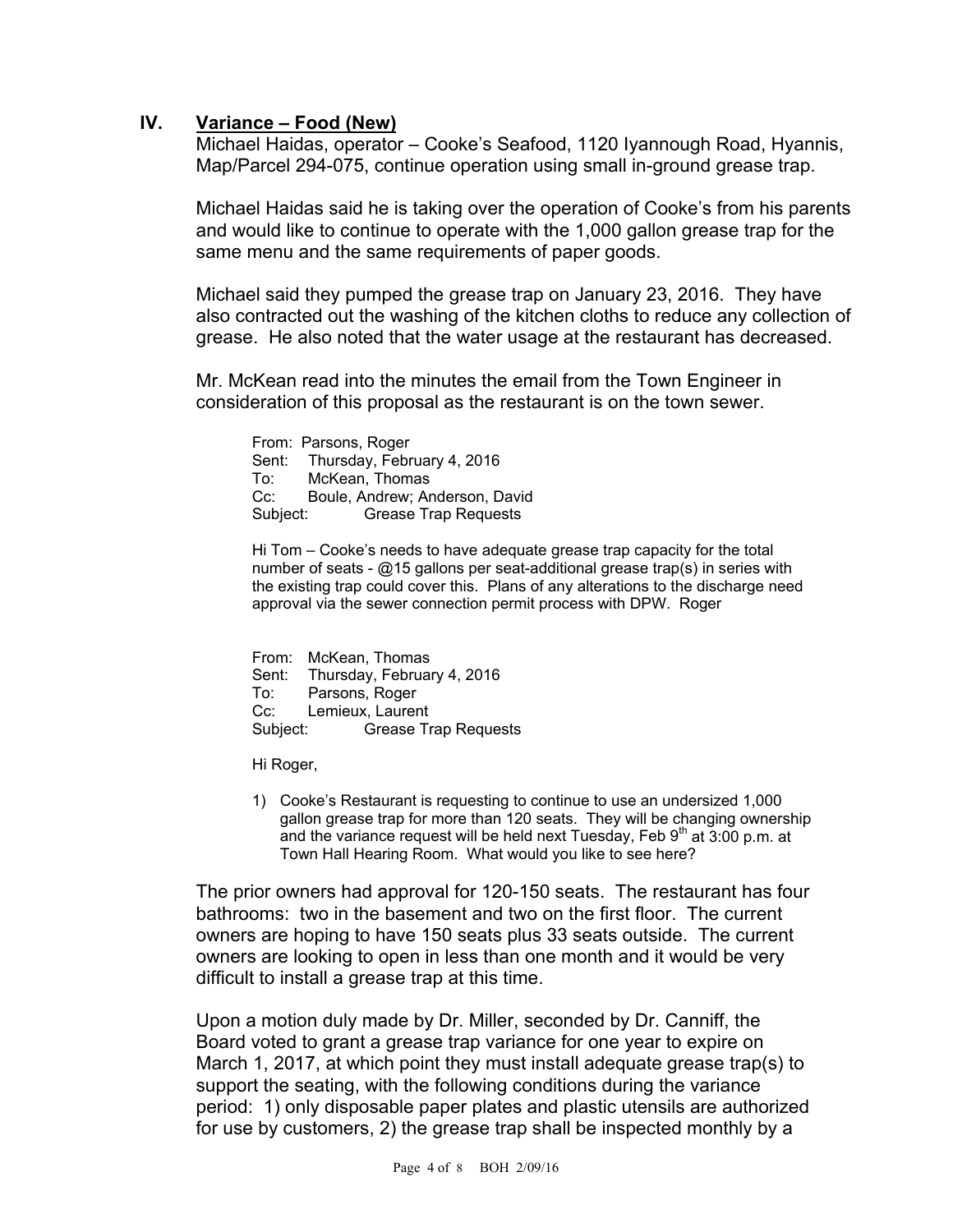## **IV. Variance – Food (New)**

Michael Haidas, operator – Cooke's Seafood, 1120 Iyannough Road, Hyannis, Map/Parcel 294-075, continue operation using small in-ground grease trap.

Michael Haidas said he is taking over the operation of Cooke's from his parents and would like to continue to operate with the 1,000 gallon grease trap for the same menu and the same requirements of paper goods.

Michael said they pumped the grease trap on January 23, 2016. They have also contracted out the washing of the kitchen cloths to reduce any collection of grease. He also noted that the water usage at the restaurant has decreased.

Mr. McKean read into the minutes the email from the Town Engineer in consideration of this proposal as the restaurant is on the town sewer.

From: Parsons, Roger Sent: Thursday, February 4, 2016 To: McKean, Thomas Cc: Boule, Andrew; Anderson, David Subject: Grease Trap Requests

Hi Tom – Cooke's needs to have adequate grease trap capacity for the total number of seats - @15 gallons per seat-additional grease trap(s) in series with the existing trap could cover this. Plans of any alterations to the discharge need approval via the sewer connection permit process with DPW. Roger

From: McKean, Thomas Sent: Thursday, February 4, 2016 To: Parsons, Roger Cc: Lemieux, Laurent Subject: Grease Trap Requests

Hi Roger,

1) Cooke's Restaurant is requesting to continue to use an undersized 1,000 gallon grease trap for more than 120 seats. They will be changing ownership and the variance request will be held next Tuesday, Feb  $9<sup>th</sup>$  at 3:00 p.m. at Town Hall Hearing Room. What would you like to see here?

The prior owners had approval for 120-150 seats. The restaurant has four bathrooms: two in the basement and two on the first floor. The current owners are hoping to have 150 seats plus 33 seats outside. The current owners are looking to open in less than one month and it would be very difficult to install a grease trap at this time.

Upon a motion duly made by Dr. Miller, seconded by Dr. Canniff, the Board voted to grant a grease trap variance for one year to expire on March 1, 2017, at which point they must install adequate grease trap(s) to support the seating, with the following conditions during the variance period: 1) only disposable paper plates and plastic utensils are authorized for use by customers, 2) the grease trap shall be inspected monthly by a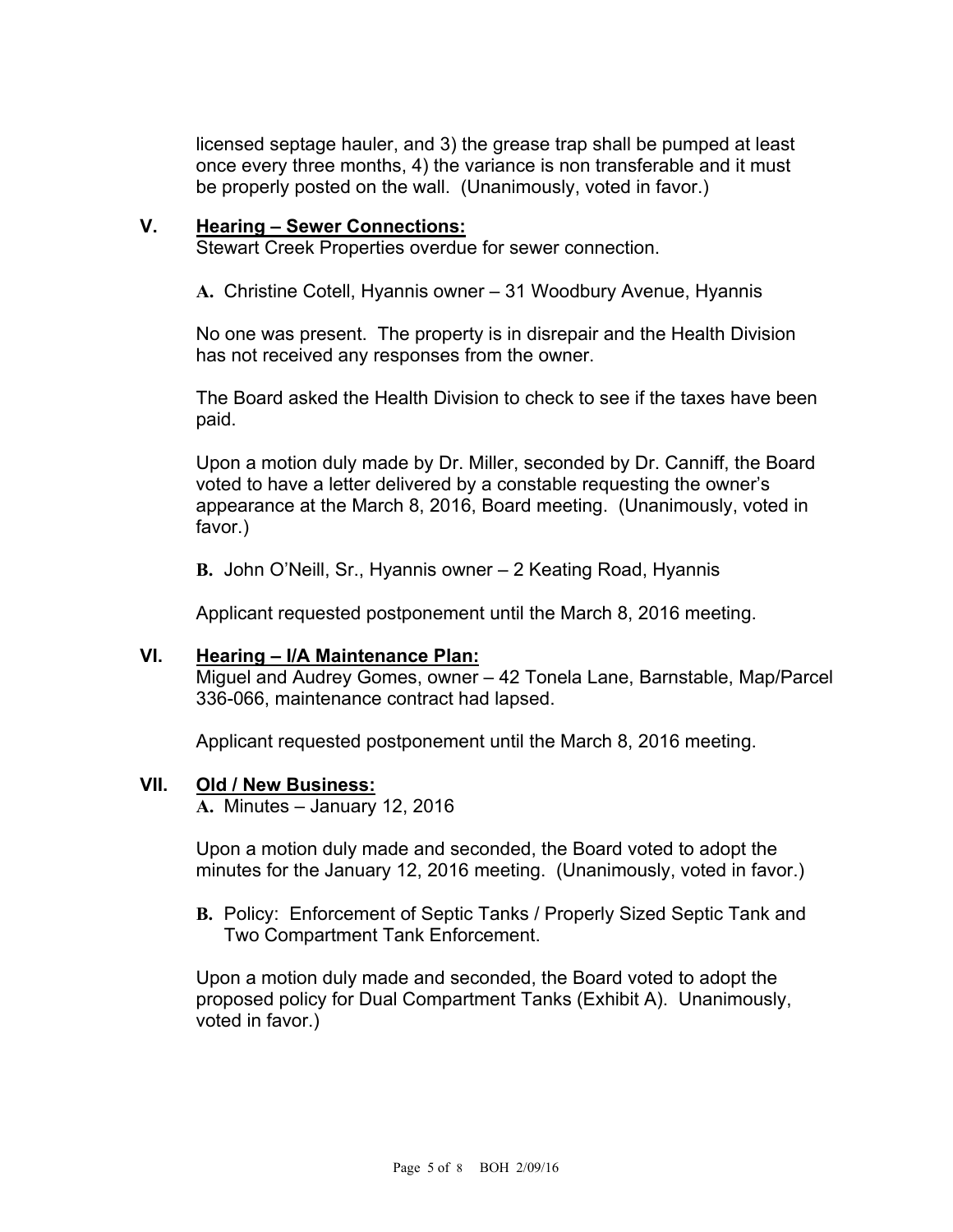licensed septage hauler, and 3) the grease trap shall be pumped at least once every three months, 4) the variance is non transferable and it must be properly posted on the wall. (Unanimously, voted in favor.)

## **V. Hearing – Sewer Connections:**

Stewart Creek Properties overdue for sewer connection.

**A.** Christine Cotell, Hyannis owner – 31 Woodbury Avenue, Hyannis

No one was present. The property is in disrepair and the Health Division has not received any responses from the owner.

The Board asked the Health Division to check to see if the taxes have been paid.

Upon a motion duly made by Dr. Miller, seconded by Dr. Canniff, the Board voted to have a letter delivered by a constable requesting the owner's appearance at the March 8, 2016, Board meeting. (Unanimously, voted in favor.)

**B.** John O'Neill, Sr., Hyannis owner – 2 Keating Road, Hyannis

Applicant requested postponement until the March 8, 2016 meeting.

### **VI. Hearing – I/A Maintenance Plan:**

Miguel and Audrey Gomes, owner – 42 Tonela Lane, Barnstable, Map/Parcel 336-066, maintenance contract had lapsed.

Applicant requested postponement until the March 8, 2016 meeting.

#### **VII. Old / New Business:**

**A.** Minutes – January 12, 2016

Upon a motion duly made and seconded, the Board voted to adopt the minutes for the January 12, 2016 meeting. (Unanimously, voted in favor.)

**B.** Policy: Enforcement of Septic Tanks / Properly Sized Septic Tank and Two Compartment Tank Enforcement.

Upon a motion duly made and seconded, the Board voted to adopt the proposed policy for Dual Compartment Tanks (Exhibit A). Unanimously, voted in favor.)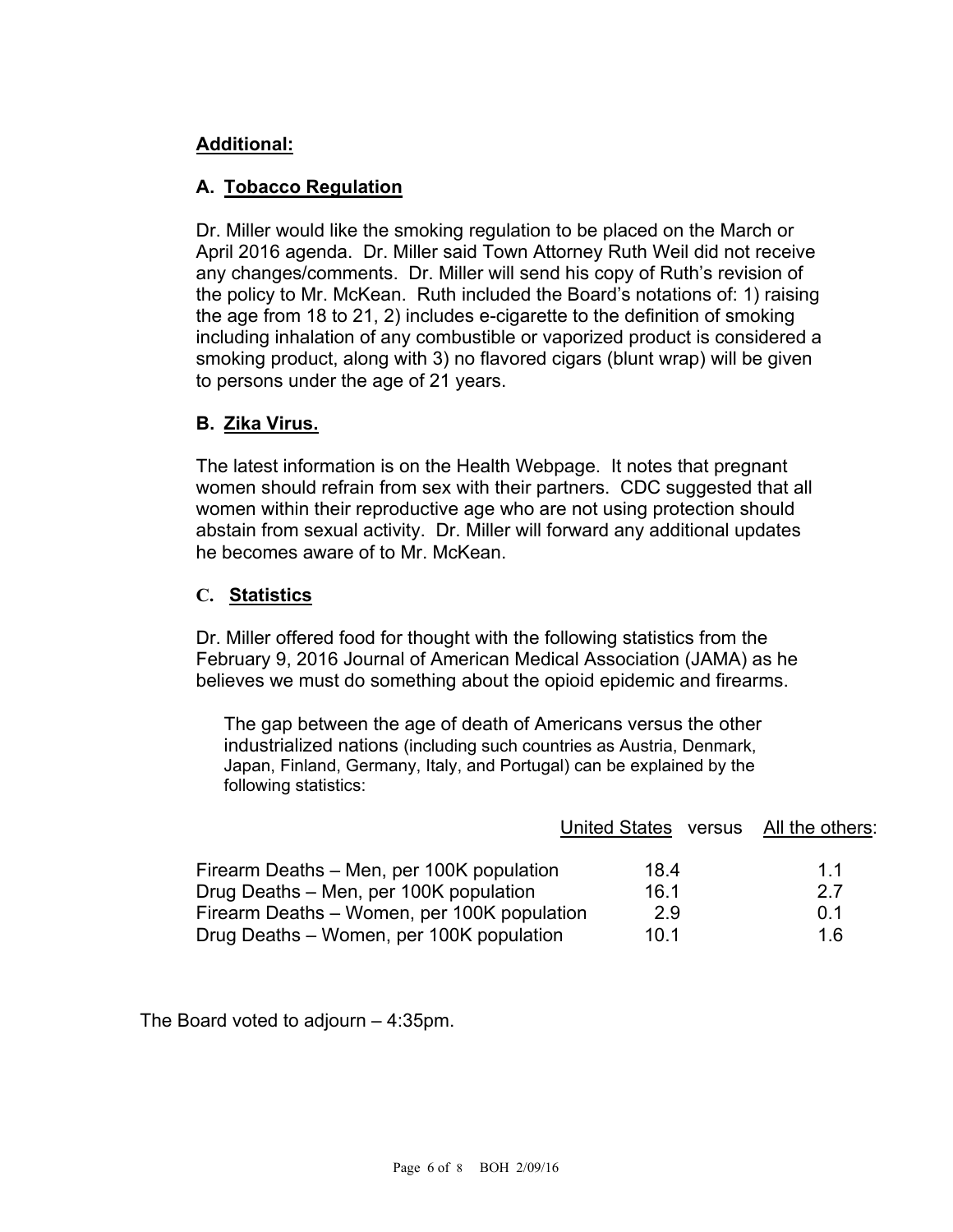## **Additional:**

## **A. Tobacco Regulation**

Dr. Miller would like the smoking regulation to be placed on the March or April 2016 agenda. Dr. Miller said Town Attorney Ruth Weil did not receive any changes/comments. Dr. Miller will send his copy of Ruth's revision of the policy to Mr. McKean. Ruth included the Board's notations of: 1) raising the age from 18 to 21, 2) includes e-cigarette to the definition of smoking including inhalation of any combustible or vaporized product is considered a smoking product, along with 3) no flavored cigars (blunt wrap) will be given to persons under the age of 21 years.

## **B. Zika Virus.**

The latest information is on the Health Webpage. It notes that pregnant women should refrain from sex with their partners. CDC suggested that all women within their reproductive age who are not using protection should abstain from sexual activity. Dr. Miller will forward any additional updates he becomes aware of to Mr. McKean.

## **C. Statistics**

Dr. Miller offered food for thought with the following statistics from the February 9, 2016 Journal of American Medical Association (JAMA) as he believes we must do something about the opioid epidemic and firearms.

The gap between the age of death of Americans versus the other industrialized nations (including such countries as Austria, Denmark, Japan, Finland, Germany, Italy, and Portugal) can be explained by the following statistics:

|                                             | United States versus | All the others: |
|---------------------------------------------|----------------------|-----------------|
| Firearm Deaths – Men, per 100K population   | 18.4                 | 11              |
| Drug Deaths - Men, per 100K population      | 16.1                 | 27              |
| Firearm Deaths – Women, per 100K population | 2.9                  | 0 <sub>1</sub>  |
| Drug Deaths - Women, per 100K population    | 10 <sub>1</sub>      | 1 6             |

The Board voted to adjourn – 4:35pm.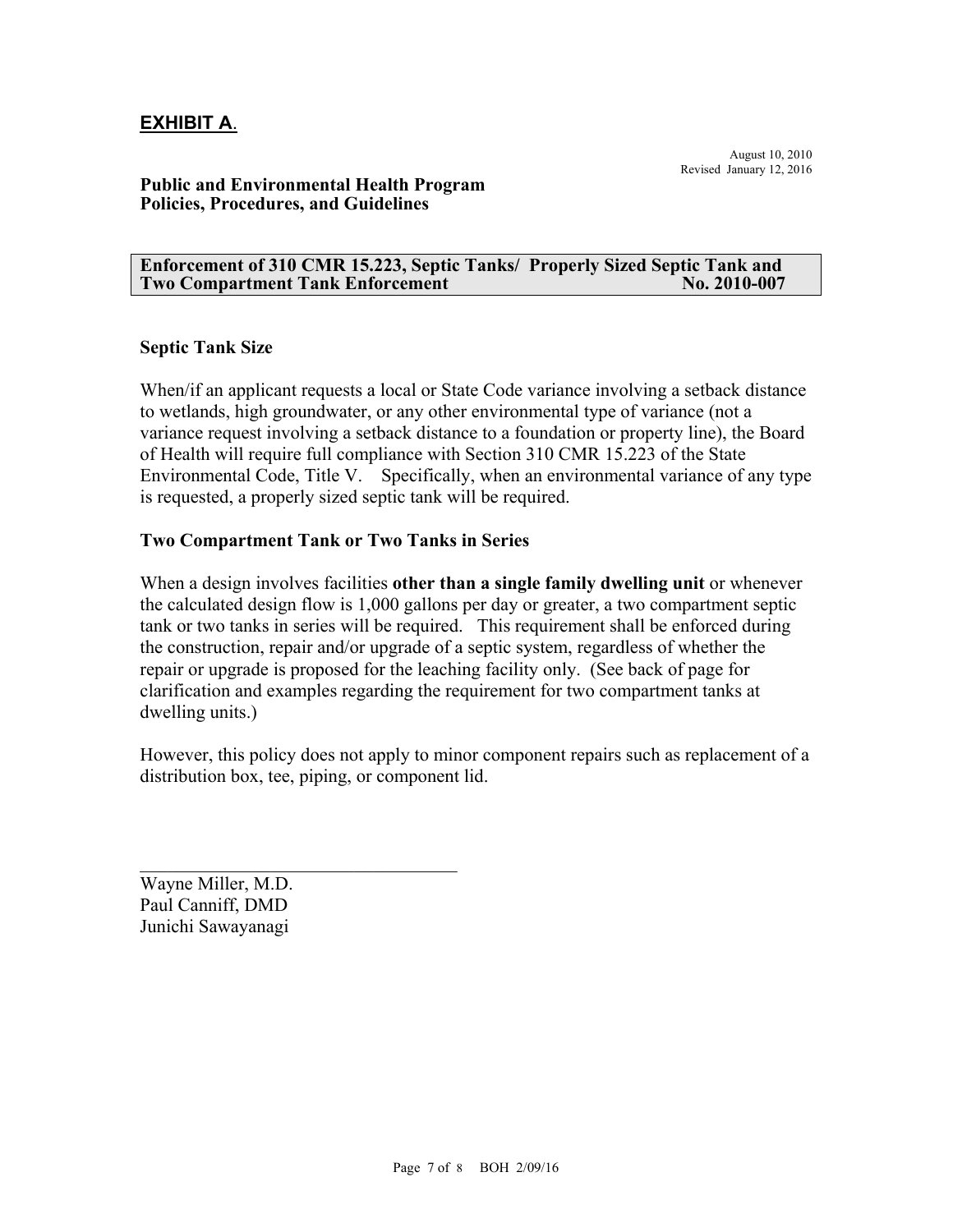## **EXHIBIT A**.

### **Public and Environmental Health Program Policies, Procedures, and Guidelines**

#### **Enforcement of 310 CMR 15.223, Septic Tanks/ Properly Sized Septic Tank and Two Compartment Tank Enforcement No. 2010-007**

#### **Septic Tank Size**

When/if an applicant requests a local or State Code variance involving a setback distance to wetlands, high groundwater, or any other environmental type of variance (not a variance request involving a setback distance to a foundation or property line), the Board of Health will require full compliance with Section 310 CMR 15.223 of the State Environmental Code, Title V. Specifically, when an environmental variance of any type is requested, a properly sized septic tank will be required.

### **Two Compartment Tank or Two Tanks in Series**

When a design involves facilities **other than a single family dwelling unit** or whenever the calculated design flow is 1,000 gallons per day or greater, a two compartment septic tank or two tanks in series will be required. This requirement shall be enforced during the construction, repair and/or upgrade of a septic system, regardless of whether the repair or upgrade is proposed for the leaching facility only. (See back of page for clarification and examples regarding the requirement for two compartment tanks at dwelling units.)

However, this policy does not apply to minor component repairs such as replacement of a distribution box, tee, piping, or component lid.

Wayne Miller, M.D. Paul Canniff, DMD Junichi Sawayanagi